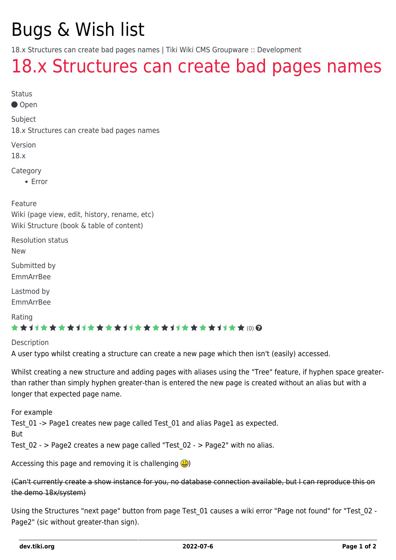# Bugs & Wish list

18.x Structures can create bad pages names | Tiki Wiki CMS Groupware :: Development

## [18.x Structures can create bad pages names](https://dev.tiki.org/item6959-18-x-Structures-can-create-bad-pages-names)

Status

Open

Subject

18.x Structures can create bad pages names

Version

18.x

Category

Error

Feature

Wiki (page view, edit, history, rename, etc) Wiki Structure (book & table of content)

Resolution status

New

Submitted by

EmmArrBee

Lastmod by EmmArrBee

Rating

#### \*\*\*\*\*\*\*\*\*\*\*\*\*\*\*\*\*\*\*\*\*\*\*\*\*\*\*\*\*\*

Description

A user typo whilst creating a structure can create a new page which then isn't (easily) accessed.

Whilst creating a new structure and adding pages with aliases using the "Tree" feature, if hyphen space greaterthan rather than simply hyphen greater-than is entered the new page is created without an alias but with a longer that expected page name.

For example Test\_01 -> Page1 creates new page called Test\_01 and alias Page1 as expected. But

Test  $02 -$  > Page2 creates a new page called "Test  $02 -$  > Page2" with no alias.

Accessing this page and removing it is challenging  $\bigcirc$ 

(Can't currently create a show instance for you, no database connection available, but I can reproduce this on the demo 18x/system)

Using the Structures "next page" button from page Test 01 causes a wiki error "Page not found" for "Test 02 -Page2" (sic without greater-than sign).